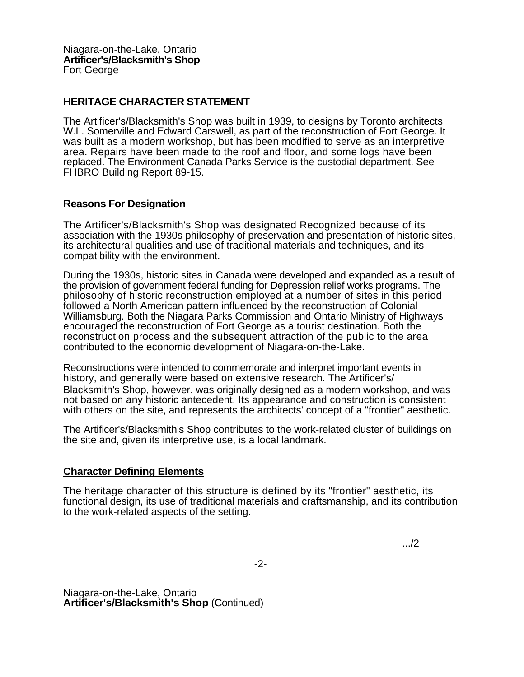## **HERITAGE CHARACTER STATEMENT**

The Artificer's/Blacksmith's Shop was built in 1939, to designs by Toronto architects W.L. Somerville and Edward Carswell, as part of the reconstruction of Fort George. It was built as a modern workshop, but has been modified to serve as an interpretive area. Repairs have been made to the roof and floor, and some logs have been replaced. The Environment Canada Parks Service is the custodial department. See FHBRO Building Report 89-15.

## **Reasons For Designation**

The Artificer's/Blacksmith's Shop was designated Recognized because of its association with the 1930s philosophy of preservation and presentation of historic sites, its architectural qualities and use of traditional materials and techniques, and its compatibility with the environment.

During the 1930s, historic sites in Canada were developed and expanded as a result of the provision of government federal funding for Depression relief works programs. The philosophy of historic reconstruction employed at a number of sites in this period followed a North American pattern influenced by the reconstruction of Colonial Williamsburg. Both the Niagara Parks Commission and Ontario Ministry of Highways encouraged the reconstruction of Fort George as a tourist destination. Both the reconstruction process and the subsequent attraction of the public to the area contributed to the economic development of Niagara-on-the-Lake.

Reconstructions were intended to commemorate and interpret important events in history, and generally were based on extensive research. The Artificer's/ Blacksmith's Shop, however, was originally designed as a modern workshop, and was not based on any historic antecedent. Its appearance and construction is consistent with others on the site, and represents the architects' concept of a "frontier" aesthetic.

The Artificer's/Blacksmith's Shop contributes to the work-related cluster of buildings on the site and, given its interpretive use, is a local landmark.

## **Character Defining Elements**

The heritage character of this structure is defined by its "frontier" aesthetic, its functional design, its use of traditional materials and craftsmanship, and its contribution to the work-related aspects of the setting.

.../2

-2-

Niagara-on-the-Lake, Ontario **Artificer's/Blacksmith's Shop** (Continued)